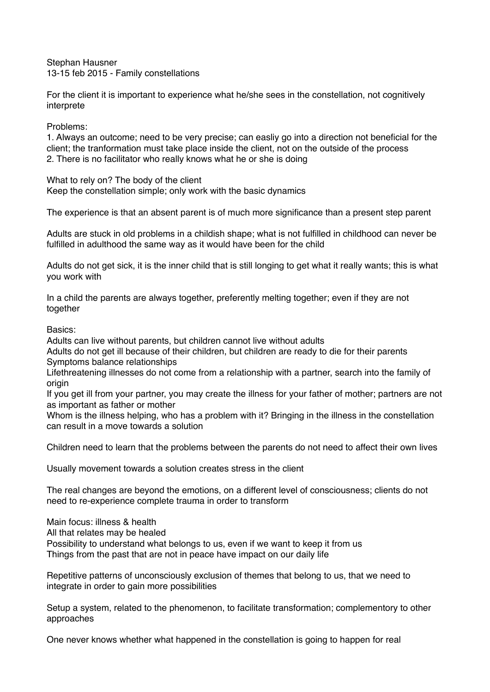Stephan Hausner 13-15 feb 2015 - Family constellations

For the client it is important to experience what he/she sees in the constellation, not cognitively interprete

Problems:

1. Always an outcome; need to be very precise; can easliy go into a direction not beneficial for the client; the tranformation must take place inside the client, not on the outside of the process 2. There is no facilitator who really knows what he or she is doing

What to rely on? The body of the client Keep the constellation simple; only work with the basic dynamics

The experience is that an absent parent is of much more significance than a present step parent

Adults are stuck in old problems in a childish shape; what is not fulfilled in childhood can never be fulfilled in adulthood the same way as it would have been for the child

Adults do not get sick, it is the inner child that is still longing to get what it really wants; this is what you work with

In a child the parents are always together, preferently melting together; even if they are not together

Basics:

Adults can live without parents, but children cannot live without adults

Adults do not get ill because of their children, but children are ready to die for their parents Symptoms balance relationships

Lifethreatening illnesses do not come from a relationship with a partner, search into the family of origin

If you get ill from your partner, you may create the illness for your father of mother; partners are not as important as father or mother

Whom is the illness helping, who has a problem with it? Bringing in the illness in the constellation can result in a move towards a solution

Children need to learn that the problems between the parents do not need to affect their own lives

Usually movement towards a solution creates stress in the client

The real changes are beyond the emotions, on a different level of consciousness; clients do not need to re-experience complete trauma in order to transform

Main focus: illness & health All that relates may be healed Possibility to understand what belongs to us, even if we want to keep it from us Things from the past that are not in peace have impact on our daily life

Repetitive patterns of unconsciously exclusion of themes that belong to us, that we need to integrate in order to gain more possibilities

Setup a system, related to the phenomenon, to facilitate transformation; complementory to other approaches

One never knows whether what happened in the constellation is going to happen for real